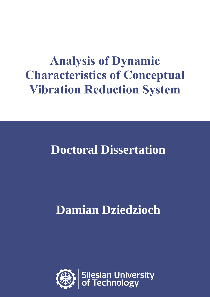# **Analysis of Dynamic Characteristics of Conceptual Vibration Reduction System**

### **Doctoral Dissertation**

## **Damian Dziedzioch**

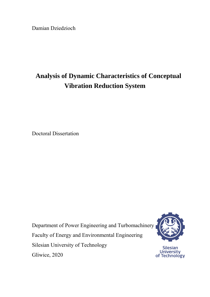Damian Dziedzioch

### **Analysis of Dynamic Characteristics of Conceptual Vibration Reduction System**

Doctoral Dissertation

Department of Power Engineering and Turbomachinery Faculty of Energy and Environmental Engineering Silesian University of Technology Gliwice, 2020



Silesian<br>University<br>of Technology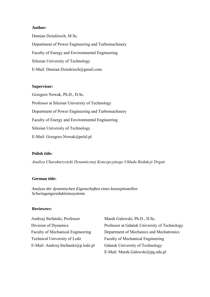#### **Author:**

Damian Dziedzioch, M.Sc. Department of Power Engineering and Turbomachinery Faculty of Energy and Environmental Engineering Silesian University of Technology E-Mail: Damian.Dziedzioch@gmail.com

#### **Supervisor:**

Grzegorz Nowak, Ph.D., D.Sc. Professor at Silesian University of Technology Department of Power Engineering and Turbomachinery Faculty of Energy and Environmental Engineering Silesian University of Technology E-Mail: Grzegorz.Nowak@polsl.pl

#### **Polish title:**

*Analiza Charakterystyki Dynamicznej Koncepcyjnego Układu Redukcji Drgań*

#### **German title:**

*Analyse der dynamischen Eigenschaften eines konzeptionellen Schwingungsreduktionssystems*

#### **Reviewers:**

| Andrzej Stefański, Professor             | Marek Galewski, Ph.D., D.Sc.                 |
|------------------------------------------|----------------------------------------------|
| Division of Dynamics                     | Professor at Gdańsk University of Technology |
| <b>Faculty of Mechanical Engineering</b> | Department of Mechanics and Mechatronics     |
| Technical University of Lodz             | <b>Faculty of Mechanical Engineering</b>     |
| E-Mail: Andrzej.Stefanski@p.lodz.pl      | <b>Gdansk University of Technology</b>       |
|                                          | E-Mail: Marek.Galewski@pg.edu.pl             |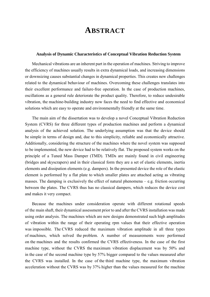### **ABSTRACT**

#### **Analysis of Dynamic Characteristics of Conceptual Vibration Reduction System**

Mechanical vibrations are an inherent part in the operation of machines. Striving to improve the efficiency of machines usually results in extra dynamical loads, and increasing dimensions or downsizing causes substantial changes in dynamical properties. This creates new challenges related to the dynamical behaviour of machines. Overcoming these challenges translates into their excellent performance and failure-free operation. In the case of production machines, oscillations as a general rule deteriorate the product quality. Therefore, to reduce undesirable vibration, the machine-building industry now faces the need to find effective and economical solutions which are easy to operate and environmentally friendly at the same time.

The main aim of the dissertation was to develop a novel Conceptual Vibration Reduction System (CVRS) for three different types of production machines and perform a dynamical analysis of the achieved solution. The underlying assumption was that the device should be simple in terms of design and, due to this simplicity, reliable and economically attractive. Additionally, considering the structure of the machines where the novel system was supposed to be implemented, the new device had to be relatively flat. The proposed system works on the principle of a Tuned Mass Damper (TMD). TMDs are mainly found in civil engineering (bridges and skyscrapers) and in their classical form they are a set of elastic elements, inertia elements and dissipation elements (e.g. dampers). In the presented device the role of the elastic element is performed by a flat plate to which smaller plates are attached acting as vibrating masses. The damping is exclusively the effect of natural phenomena – e.g. friction occurring between the plates. The CVRS thus has no classical dampers, which reduces the device cost and makes it very compact.

Because the machines under consideration operate with different rotational speeds of the main shaft, their dynamical assessment prior to and after the CVRS installation was made using order analysis. The machines which are new designs demonstrated such high amplitudes of vibration within the range of their operating rpm values that their effective operation was impossible. The CVRS reduced the maximum vibration amplitude in all three types of machines, which solved the problem. A number of measurements were performed on the machines and the results confirmed the CVRS effectiveness. In the case of the first machine type, without the CVRS the maximum vibration displacement was by 50% and in the case of the second machine type by 57% bigger compared to the values measured after the CVRS was installed. In the case of the third machine type, the maximum vibration acceleration without the CVRS was by 37% higher than the values measured for the machine